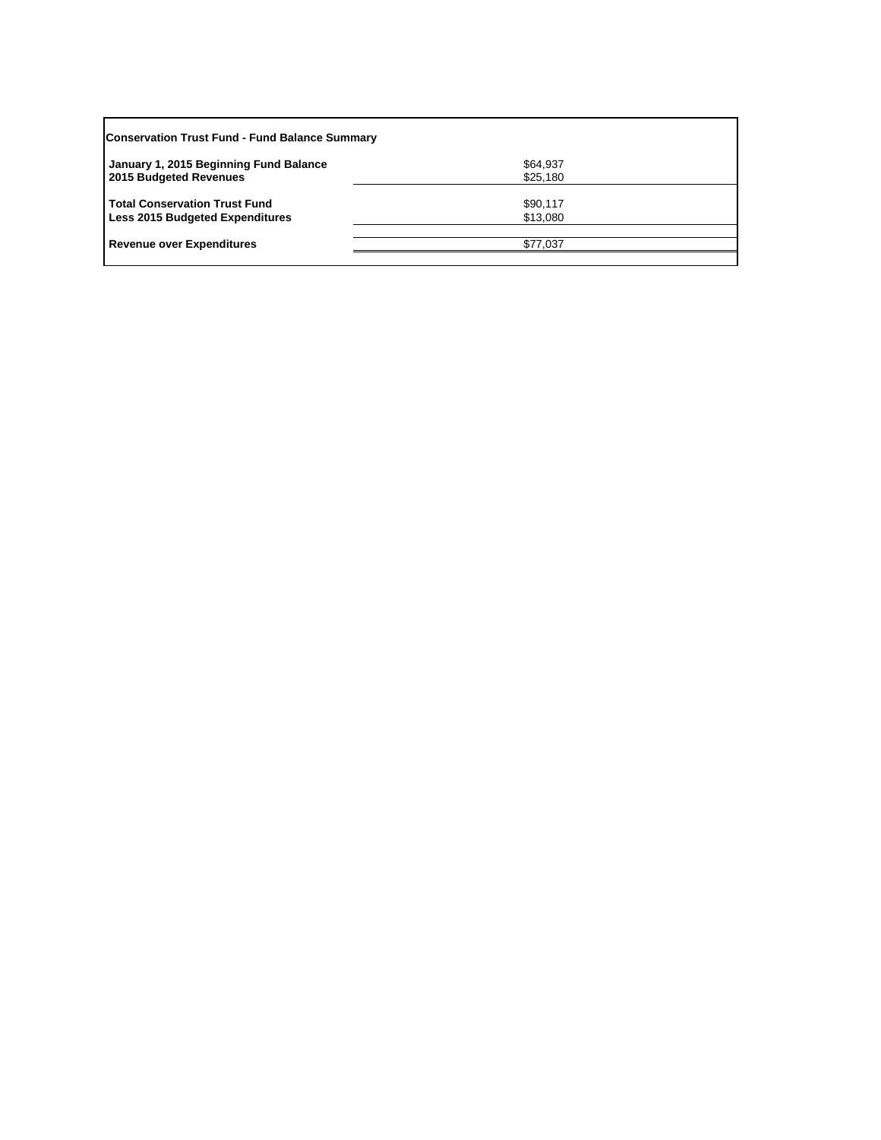| <b>Conservation Trust Fund - Fund Balance Summary</b>                          |                      |  |  |
|--------------------------------------------------------------------------------|----------------------|--|--|
| January 1, 2015 Beginning Fund Balance<br>2015 Budgeted Revenues               | \$64,937<br>\$25,180 |  |  |
| <b>Total Conservation Trust Fund</b><br><b>Less 2015 Budgeted Expenditures</b> | \$90,117<br>\$13,080 |  |  |
| <b>Revenue over Expenditures</b>                                               | \$77.037             |  |  |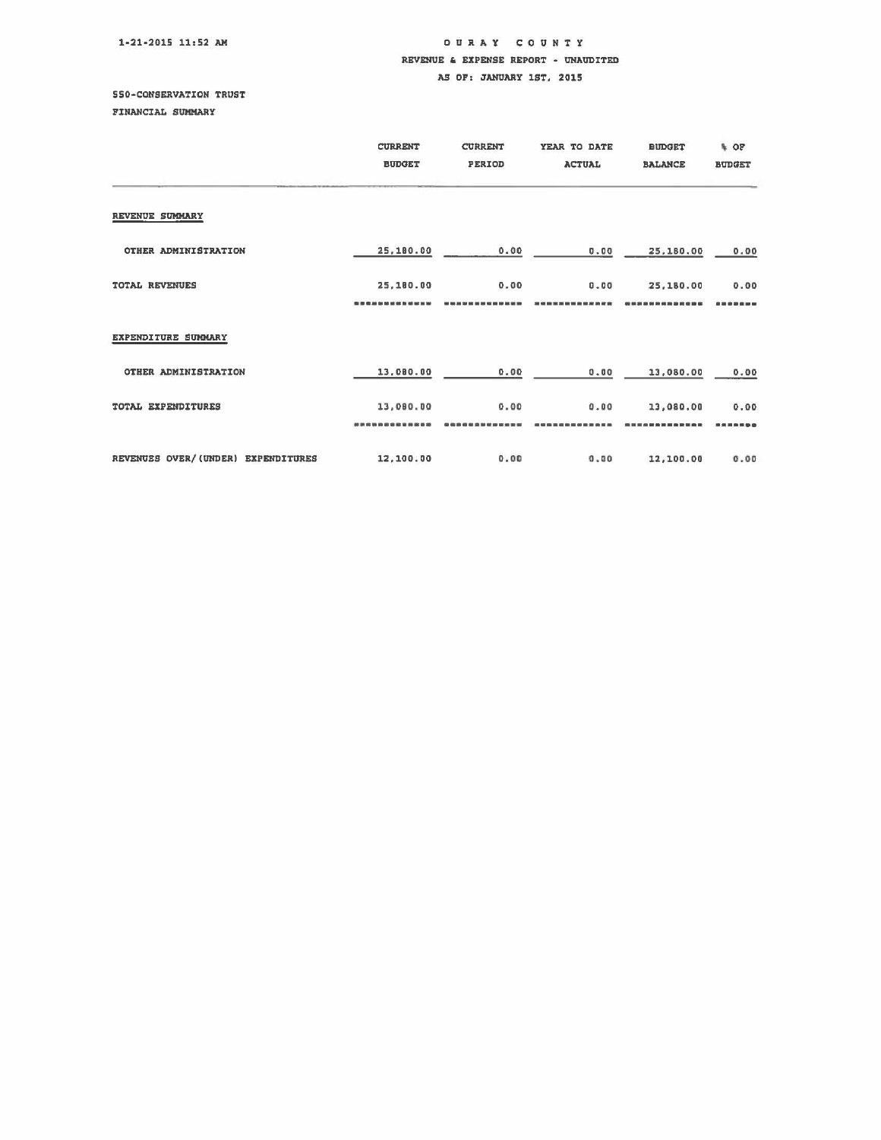1-21-2015 11:52 AM

## OUR A Y COUNTY REVENUE & EXPENSE REPORT - UNAUDITED AS OF: JANUARY 1ST, 2015

## SSO-CONSERVATION TRUST

FINANCIAL SUMMARY

|                                    | <b>CURRENT</b><br><b>BUDGET</b> | <b>CURRENT</b><br>PERIOD | YEAR TO DATE<br><b>ACTUAL</b> | <b>BUDGET</b><br><b>BALANCE</b> | % OF<br><b>BUDGET</b> |
|------------------------------------|---------------------------------|--------------------------|-------------------------------|---------------------------------|-----------------------|
| REVENUE SUMMARY                    |                                 |                          |                               |                                 |                       |
| OTHER ADMINISTRATION               | 25,180.00                       | 0.00                     | 0.00                          | 25,180.00                       | 0.00                  |
| TOTAL REVENUES                     | 25,180.00                       | 0.00                     | 0.00                          | 25,180.00                       | 0.00                  |
| EXPENDITURE SUMMARY                |                                 |                          |                               |                                 |                       |
| OTHER ADMINISTRATION               | 13,080.00                       | 0.00                     | 0.00                          | 13,080.00                       | 0.00                  |
| TOTAL EXPENDITURES                 | 13,080.00                       | 0.00                     | 0.00                          | 13,080.00                       | 0.00                  |
| REVENUES OVER/(UNDER) EXPENDITURES | 12,100.00                       | 0.00                     | 0.00                          | 12,100.00                       | 0.00                  |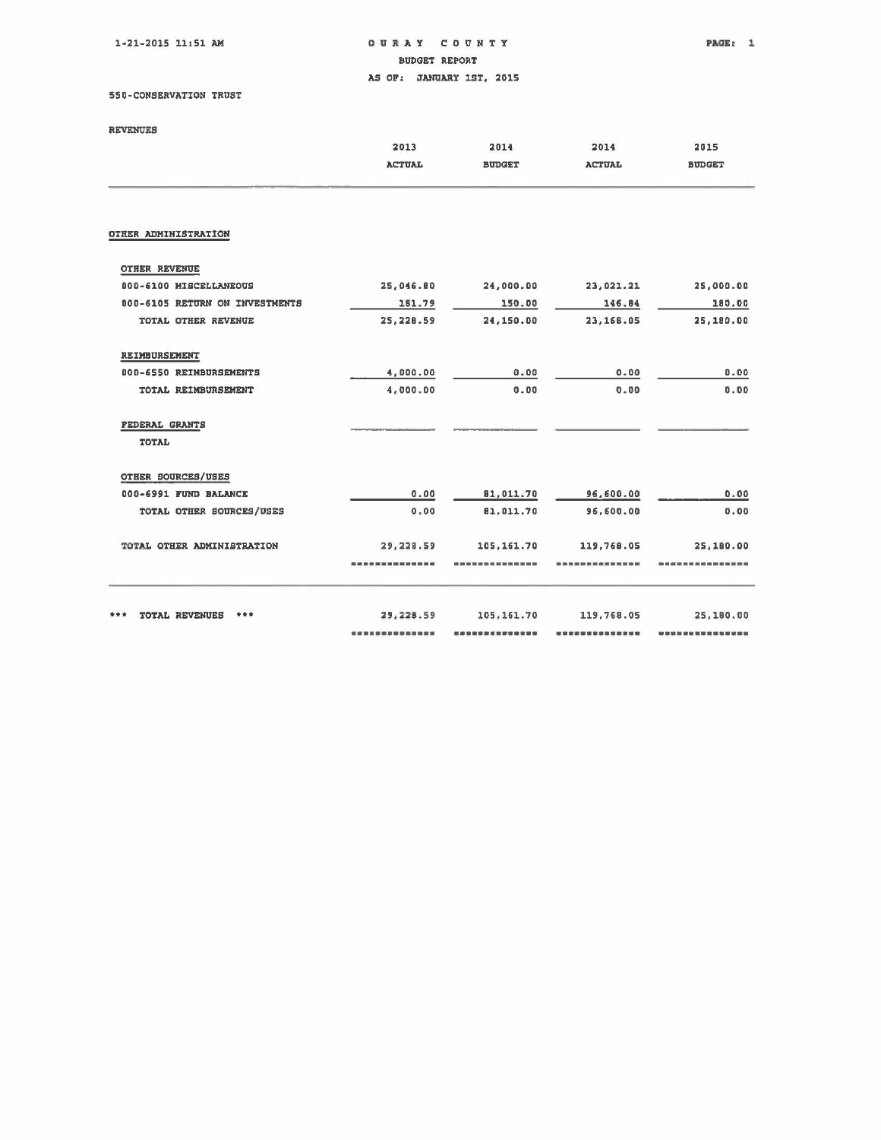$1-21-2015$   $11:51$  AM

OURAY COUNTY **BUDGET REPORT** AS OF: JANUARY 1ST, 2015

550-CONSERVATION TRUST

| <b>REVENUES</b> |  |
|-----------------|--|

|                                | 2013           | 2014          | 2014          | 2015                                                              |
|--------------------------------|----------------|---------------|---------------|-------------------------------------------------------------------|
|                                | <b>ACTUAL</b>  | <b>BUDGET</b> | <b>ACTUAL</b> | <b>BUDGET</b>                                                     |
| OTHER ADMINISTRATION           |                |               |               |                                                                   |
|                                |                |               |               |                                                                   |
| <b>OTHER REVENUE</b>           |                |               |               |                                                                   |
| 000-6100 MISCELLANEOUS         | 25,046.80      | 24,000.00     | 23,021.21     | 25,000.00                                                         |
| 000-6105 RETURN ON INVESTMENTS | 181.79         | 150.00        | 146.84        | 180.00                                                            |
| TOTAL OTHER REVENUE            | 25, 228.59     | 24,150.00     | 23,168.05     | 25,180.00                                                         |
| REIMBURSEMENT                  |                |               |               |                                                                   |
| 000-6550 REIMBURSEMENTS        | 4,000.00       | 0.00          | 0.00          | 0.00                                                              |
| TOTAL REIMBURSEMENT            | 4,000.00       | 0.00          | 0.00          | 0.00                                                              |
| <b>FEDERAL GRANTS</b>          |                |               |               |                                                                   |
| TOTAL                          |                |               |               |                                                                   |
| OTHER SOURCES/USES             |                |               |               |                                                                   |
| 000-6991 FUND BALANCE          | 0.00           | 81,011.70     | 96,600.00     | 0.00                                                              |
| TOTAL OTHER SOURCES/USES       | 0.00           | 81.011.70     | 96,600.00     | 0.00                                                              |
| TOTAL OTHER ADMINISTRATION     | 29,228.59      | 105, 161.70   | 119,768.05    | 25,180.00                                                         |
|                                | -------------- |               |               | --------------                                                    |
|                                |                |               |               |                                                                   |
| <b>TOTAL REVENUES</b><br>***   | 29,228.59      | 105, 161.70   | 119,768.05    | 25,180.00                                                         |
|                                |                |               |               | <b>Our doin your disk your pair your disk your mode your mode</b> |